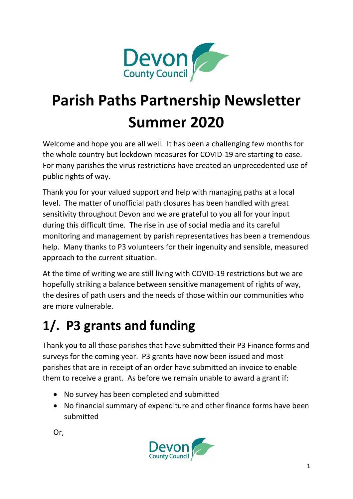

# **Parish Paths Partnership Newsletter Summer 2020**

Welcome and hope you are all well. It has been a challenging few months for the whole country but lockdown measures for COVID-19 are starting to ease. For many parishes the virus restrictions have created an unprecedented use of public rights of way.

Thank you for your valued support and help with managing paths at a local level. The matter of unofficial path closures has been handled with great sensitivity throughout Devon and we are grateful to you all for your input during this difficult time. The rise in use of social media and its careful monitoring and management by parish representatives has been a tremendous help. Many thanks to P3 volunteers for their ingenuity and sensible, measured approach to the current situation.

At the time of writing we are still living with COVID-19 restrictions but we are hopefully striking a balance between sensitive management of rights of way, the desires of path users and the needs of those within our communities who are more vulnerable.

#### **1/. P3 grants and funding**

Thank you to all those parishes that have submitted their P3 Finance forms and surveys for the coming year. P3 grants have now been issued and most parishes that are in receipt of an order have submitted an invoice to enable them to receive a grant. As before we remain unable to award a grant if:

- No survey has been completed and submitted
- No financial summary of expenditure and other finance forms have been submitted



Or,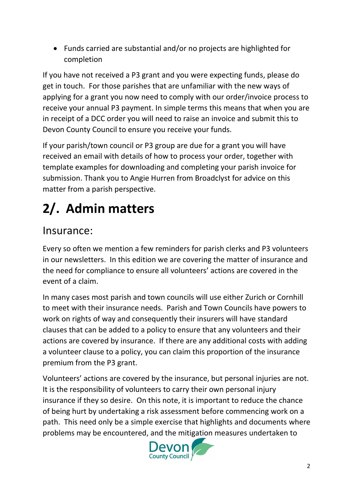• Funds carried are substantial and/or no projects are highlighted for completion

If you have not received a P3 grant and you were expecting funds, please do get in touch. For those parishes that are unfamiliar with the new ways of applying for a grant you now need to comply with our order/invoice process to receive your annual P3 payment. In simple terms this means that when you are in receipt of a DCC order you will need to raise an invoice and submit this to Devon County Council to ensure you receive your funds.

If your parish/town council or P3 group are due for a grant you will have received an email with details of how to process your order, together with template examples for downloading and completing your parish invoice for submission. Thank you to Angie Hurren from Broadclyst for advice on this matter from a parish perspective.

## **2/. Admin matters**

#### Insurance:

Every so often we mention a few reminders for parish clerks and P3 volunteers in our newsletters. In this edition we are covering the matter of insurance and the need for compliance to ensure all volunteers' actions are covered in the event of a claim.

In many cases most parish and town councils will use either Zurich or Cornhill to meet with their insurance needs. Parish and Town Councils have powers to work on rights of way and consequently their insurers will have standard clauses that can be added to a policy to ensure that any volunteers and their actions are covered by insurance. If there are any additional costs with adding a volunteer clause to a policy, you can claim this proportion of the insurance premium from the P3 grant.

Volunteers' actions are covered by the insurance, but personal injuries are not. It is the responsibility of volunteers to carry their own personal injury insurance if they so desire. On this note, it is important to reduce the chance of being hurt by undertaking a risk assessment before commencing work on a path. This need only be a simple exercise that highlights and documents where problems may be encountered, and the mitigation measures undertaken to

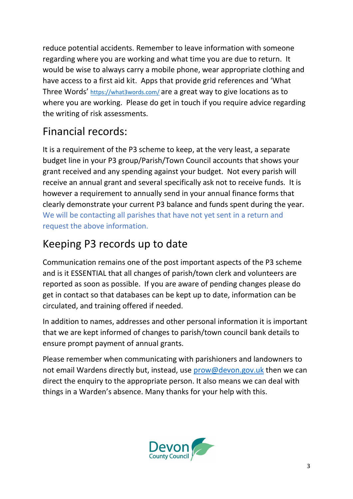reduce potential accidents. Remember to leave information with someone regarding where you are working and what time you are due to return. It would be wise to always carry a mobile phone, wear appropriate clothing and have access to a first aid kit. Apps that provide grid references and 'What Three Words' <https://what3words.com/> are a great way to give locations as to where you are working. Please do get in touch if you require advice regarding the writing of risk assessments.

#### Financial records:

It is a requirement of the P3 scheme to keep, at the very least, a separate budget line in your P3 group/Parish/Town Council accounts that shows your grant received and any spending against your budget. Not every parish will receive an annual grant and several specifically ask not to receive funds. It is however a requirement to annually send in your annual finance forms that clearly demonstrate your current P3 balance and funds spent during the year. We will be contacting all parishes that have not yet sent in a return and request the above information.

#### Keeping P3 records up to date

Communication remains one of the post important aspects of the P3 scheme and is it ESSENTIAL that all changes of parish/town clerk and volunteers are reported as soon as possible. If you are aware of pending changes please do get in contact so that databases can be kept up to date, information can be circulated, and training offered if needed.

In addition to names, addresses and other personal information it is important that we are kept informed of changes to parish/town council bank details to ensure prompt payment of annual grants.

Please remember when communicating with parishioners and landowners to not email Wardens directly but, instead, use [prow@devon.gov.uk](mailto:prow@devon.gov.uk) then we can direct the enquiry to the appropriate person. It also means we can deal with things in a Warden's absence. Many thanks for your help with this.

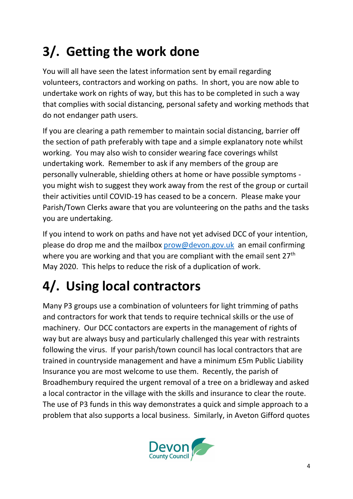## **3/. Getting the work done**

You will all have seen the latest information sent by email regarding volunteers, contractors and working on paths. In short, you are now able to undertake work on rights of way, but this has to be completed in such a way that complies with social distancing, personal safety and working methods that do not endanger path users.

If you are clearing a path remember to maintain social distancing, barrier off the section of path preferably with tape and a simple explanatory note whilst working. You may also wish to consider wearing face coverings whilst undertaking work. Remember to ask if any members of the group are personally vulnerable, shielding others at home or have possible symptoms you might wish to suggest they work away from the rest of the group or curtail their activities until COVID-19 has ceased to be a concern. Please make your Parish/Town Clerks aware that you are volunteering on the paths and the tasks you are undertaking.

If you intend to work on paths and have not yet advised DCC of your intention, please do drop me and the mailbox [prow@devon.gov.uk](mailto:prow@devon.gov.uk) an email confirming where you are working and that you are compliant with the email sent 27<sup>th</sup> May 2020. This helps to reduce the risk of a duplication of work.

## **4/. Using local contractors**

Many P3 groups use a combination of volunteers for light trimming of paths and contractors for work that tends to require technical skills or the use of machinery. Our DCC contactors are experts in the management of rights of way but are always busy and particularly challenged this year with restraints following the virus. If your parish/town council has local contractors that are trained in countryside management and have a minimum £5m Public Liability Insurance you are most welcome to use them. Recently, the parish of Broadhembury required the urgent removal of a tree on a bridleway and asked a local contractor in the village with the skills and insurance to clear the route. The use of P3 funds in this way demonstrates a quick and simple approach to a problem that also supports a local business. Similarly, in Aveton Gifford quotes

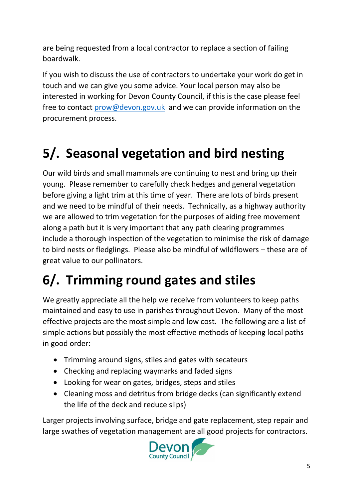are being requested from a local contractor to replace a section of failing boardwalk.

If you wish to discuss the use of contractors to undertake your work do get in touch and we can give you some advice. Your local person may also be interested in working for Devon County Council, if this is the case please feel free to contact [prow@devon.gov.uk](mailto:prow@devon.gov.uk) and we can provide information on the procurement process.

#### **5/. Seasonal vegetation and bird nesting**

Our wild birds and small mammals are continuing to nest and bring up their young. Please remember to carefully check hedges and general vegetation before giving a light trim at this time of year. There are lots of birds present and we need to be mindful of their needs. Technically, as a highway authority we are allowed to trim vegetation for the purposes of aiding free movement along a path but it is very important that any path clearing programmes include a thorough inspection of the vegetation to minimise the risk of damage to bird nests or fledglings. Please also be mindful of wildflowers – these are of great value to our pollinators.

#### **6/. Trimming round gates and stiles**

We greatly appreciate all the help we receive from volunteers to keep paths maintained and easy to use in parishes throughout Devon. Many of the most effective projects are the most simple and low cost. The following are a list of simple actions but possibly the most effective methods of keeping local paths in good order:

- Trimming around signs, stiles and gates with secateurs
- Checking and replacing waymarks and faded signs
- Looking for wear on gates, bridges, steps and stiles
- Cleaning moss and detritus from bridge decks (can significantly extend the life of the deck and reduce slips)

Larger projects involving surface, bridge and gate replacement, step repair and large swathes of vegetation management are all good projects for contractors.

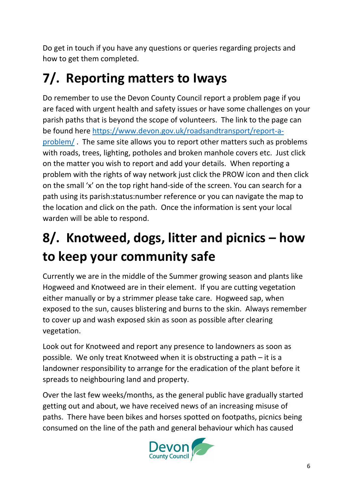Do get in touch if you have any questions or queries regarding projects and how to get them completed.

#### **7/. Reporting matters to Iways**

Do remember to use the Devon County Council report a problem page if you are faced with urgent health and safety issues or have some challenges on your parish paths that is beyond the scope of volunteers. The link to the page can be found here [https://www.devon.gov.uk/roadsandtransport/report-a](https://www.devon.gov.uk/roadsandtransport/report-a-problem/)[problem/](https://www.devon.gov.uk/roadsandtransport/report-a-problem/) . The same site allows you to report other matters such as problems with roads, trees, lighting, potholes and broken manhole covers etc. Just click on the matter you wish to report and add your details. When reporting a problem with the rights of way network just click the PROW icon and then click on the small 'x' on the top right hand-side of the screen. You can search for a path using its parish:status:number reference or you can navigate the map to the location and click on the path. Once the information is sent your local warden will be able to respond.

#### **8/. Knotweed, dogs, litter and picnics – how to keep your community safe**

Currently we are in the middle of the Summer growing season and plants like Hogweed and Knotweed are in their element. If you are cutting vegetation either manually or by a strimmer please take care. Hogweed sap, when exposed to the sun, causes blistering and burns to the skin. Always remember to cover up and wash exposed skin as soon as possible after clearing vegetation.

Look out for Knotweed and report any presence to landowners as soon as possible. We only treat Knotweed when it is obstructing a path – it is a landowner responsibility to arrange for the eradication of the plant before it spreads to neighbouring land and property.

Over the last few weeks/months, as the general public have gradually started getting out and about, we have received news of an increasing misuse of paths. There have been bikes and horses spotted on footpaths, picnics being consumed on the line of the path and general behaviour which has caused

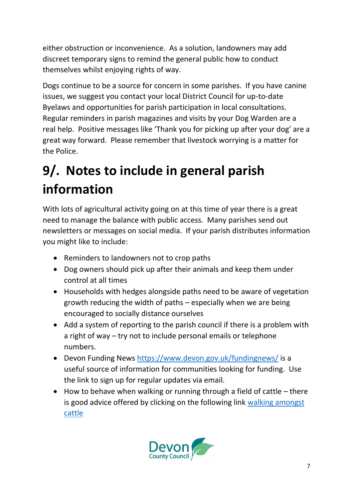either obstruction or inconvenience. As a solution, landowners may add discreet temporary signs to remind the general public how to conduct themselves whilst enjoying rights of way.

Dogs continue to be a source for concern in some parishes. If you have canine issues, we suggest you contact your local District Council for up-to-date Byelaws and opportunities for parish participation in local consultations. Regular reminders in parish magazines and visits by your Dog Warden are a real help. Positive messages like 'Thank you for picking up after your dog' are a great way forward. Please remember that livestock worrying is a matter for the Police.

#### **9/. Notes to include in general parish information**

With lots of agricultural activity going on at this time of year there is a great need to manage the balance with public access. Many parishes send out newsletters or messages on social media. If your parish distributes information you might like to include:

- Reminders to landowners not to crop paths
- Dog owners should pick up after their animals and keep them under control at all times
- Households with hedges alongside paths need to be aware of vegetation growth reducing the width of paths – especially when we are being encouraged to socially distance ourselves
- Add a system of reporting to the parish council if there is a problem with a right of way – try not to include personal emails or telephone numbers.
- Devon Funding News<https://www.devon.gov.uk/fundingnews/> is a useful source of information for communities looking for funding. Use the link to sign up for regular updates via email.
- How to behave when walking or running through a field of cattle there is good advice offered by clicking on the following link [walking amongst](https://www.bing.com/videos/search?q=how+to+behave+when+walking+or+running+through+a+field+of+cattle&docid=607997245419490800&mid=E3057886B23B4E5D5E48E3057886B23B4E5D5E48&view=detail&FORM=VIRE)  [cattle](https://www.bing.com/videos/search?q=how+to+behave+when+walking+or+running+through+a+field+of+cattle&docid=607997245419490800&mid=E3057886B23B4E5D5E48E3057886B23B4E5D5E48&view=detail&FORM=VIRE)

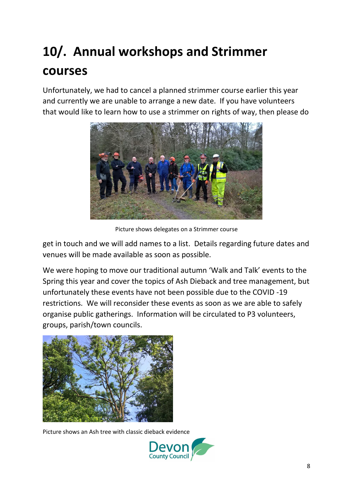## **10/. Annual workshops and Strimmer courses**

Unfortunately, we had to cancel a planned strimmer course earlier this year and currently we are unable to arrange a new date. If you have volunteers that would like to learn how to use a strimmer on rights of way, then please do



Picture shows delegates on a Strimmer course

get in touch and we will add names to a list. Details regarding future dates and venues will be made available as soon as possible.

We were hoping to move our traditional autumn 'Walk and Talk' events to the Spring this year and cover the topics of Ash Dieback and tree management, but unfortunately these events have not been possible due to the COVID -19 restrictions. We will reconsider these events as soon as we are able to safely organise public gatherings. Information will be circulated to P3 volunteers, groups, parish/town councils.



Picture shows an Ash tree with classic dieback evidence

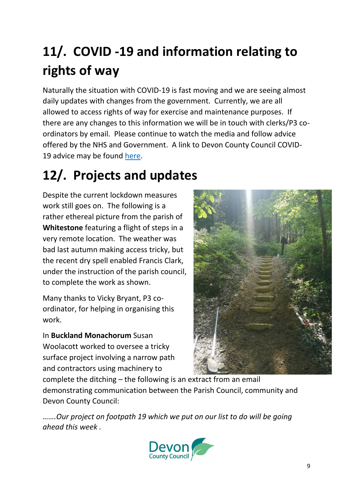#### **11/. COVID -19 and information relating to rights of way**

Naturally the situation with COVID-19 is fast moving and we are seeing almost daily updates with changes from the government. Currently, we are all allowed to access rights of way for exercise and maintenance purposes. If there are any changes to this information we will be in touch with clerks/P3 coordinators by email. Please continue to watch the media and follow advice offered by the NHS and Government. A link to Devon County Council COVID-19 advice may be found [here.](https://www.devon.gov.uk/coronavirus-advice-in-devon/)

## **12/. Projects and updates**

Despite the current lockdown measures work still goes on. The following is a rather ethereal picture from the parish of **Whitestone** featuring a flight of steps in a very remote location. The weather was bad last autumn making access tricky, but the recent dry spell enabled Francis Clark, under the instruction of the parish council, to complete the work as shown.

Many thanks to Vicky Bryant, P3 coordinator, for helping in organising this work.

In **Buckland Monachorum** Susan Woolacott worked to oversee a tricky surface project involving a narrow path and contractors using machinery to



complete the ditching – the following is an extract from an email demonstrating communication between the Parish Council, community and Devon County Council:

*…….Our project on footpath 19 which we put on our list to do will be going ahead this week .*